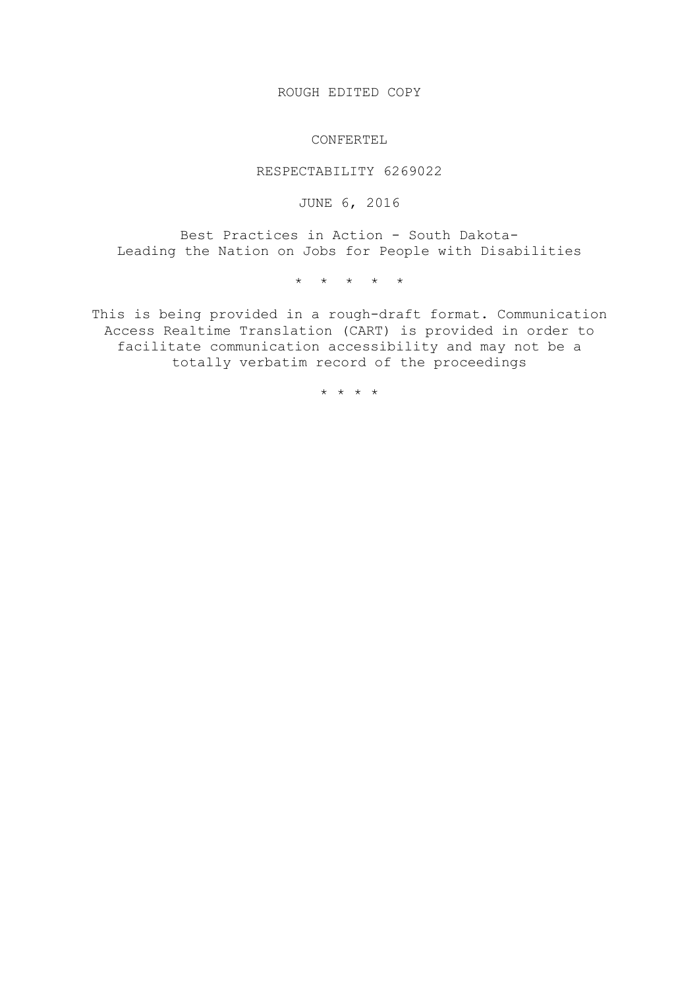ROUGH EDITED COPY

CONFERTEL

RESPECTABILITY 6269022

JUNE 6, 2016

Best Practices in Action - South Dakota-Leading the Nation on Jobs for People with Disabilities

\* \* \* \* \*

This is being provided in a rough-draft format. Communication Access Realtime Translation (CART) is provided in order to facilitate communication accessibility and may not be a totally verbatim record of the proceedings

\* \* \* \*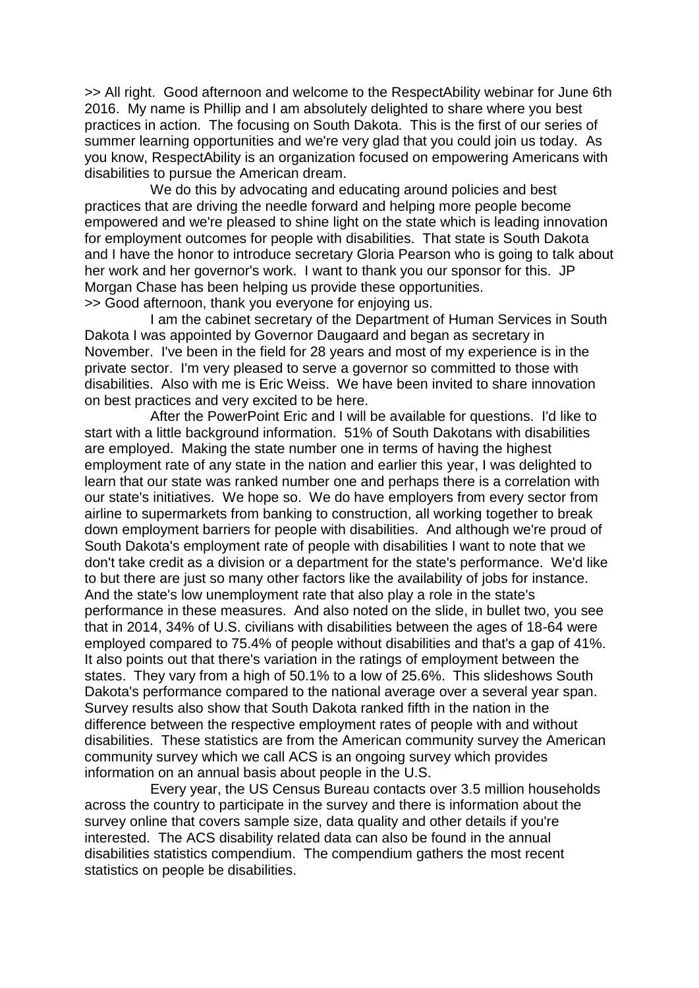>> All right. Good afternoon and welcome to the RespectAbility webinar for June 6th 2016. My name is Phillip and I am absolutely delighted to share where you best practices in action. The focusing on South Dakota. This is the first of our series of summer learning opportunities and we're very glad that you could join us today. As you know, RespectAbility is an organization focused on empowering Americans with disabilities to pursue the American dream.

We do this by advocating and educating around policies and best practices that are driving the needle forward and helping more people become empowered and we're pleased to shine light on the state which is leading innovation for employment outcomes for people with disabilities. That state is South Dakota and I have the honor to introduce secretary Gloria Pearson who is going to talk about her work and her governor's work. I want to thank you our sponsor for this. JP Morgan Chase has been helping us provide these opportunities. >> Good afternoon, thank you everyone for enjoying us.

I am the cabinet secretary of the Department of Human Services in South Dakota I was appointed by Governor Daugaard and began as secretary in November. I've been in the field for 28 years and most of my experience is in the private sector. I'm very pleased to serve a governor so committed to those with disabilities. Also with me is Eric Weiss. We have been invited to share innovation on best practices and very excited to be here.

After the PowerPoint Eric and I will be available for questions. I'd like to start with a little background information. 51% of South Dakotans with disabilities are employed. Making the state number one in terms of having the highest employment rate of any state in the nation and earlier this year, I was delighted to learn that our state was ranked number one and perhaps there is a correlation with our state's initiatives. We hope so. We do have employers from every sector from airline to supermarkets from banking to construction, all working together to break down employment barriers for people with disabilities. And although we're proud of South Dakota's employment rate of people with disabilities I want to note that we don't take credit as a division or a department for the state's performance. We'd like to but there are just so many other factors like the availability of jobs for instance. And the state's low unemployment rate that also play a role in the state's performance in these measures. And also noted on the slide, in bullet two, you see that in 2014, 34% of U.S. civilians with disabilities between the ages of 18-64 were employed compared to 75.4% of people without disabilities and that's a gap of 41%. It also points out that there's variation in the ratings of employment between the states. They vary from a high of 50.1% to a low of 25.6%. This slideshows South Dakota's performance compared to the national average over a several year span. Survey results also show that South Dakota ranked fifth in the nation in the difference between the respective employment rates of people with and without disabilities. These statistics are from the American community survey the American community survey which we call ACS is an ongoing survey which provides information on an annual basis about people in the U.S.

Every year, the US Census Bureau contacts over 3.5 million households across the country to participate in the survey and there is information about the survey online that covers sample size, data quality and other details if you're interested. The ACS disability related data can also be found in the annual disabilities statistics compendium. The compendium gathers the most recent statistics on people be disabilities.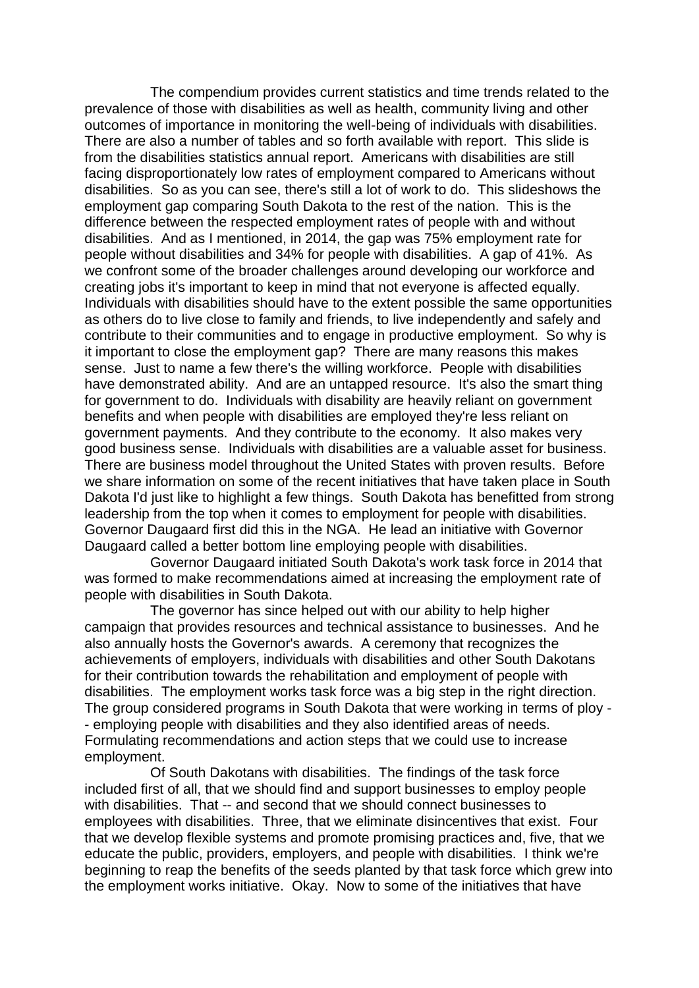The compendium provides current statistics and time trends related to the prevalence of those with disabilities as well as health, community living and other outcomes of importance in monitoring the well-being of individuals with disabilities. There are also a number of tables and so forth available with report. This slide is from the disabilities statistics annual report. Americans with disabilities are still facing disproportionately low rates of employment compared to Americans without disabilities. So as you can see, there's still a lot of work to do. This slideshows the employment gap comparing South Dakota to the rest of the nation. This is the difference between the respected employment rates of people with and without disabilities. And as I mentioned, in 2014, the gap was 75% employment rate for people without disabilities and 34% for people with disabilities. A gap of 41%. As we confront some of the broader challenges around developing our workforce and creating jobs it's important to keep in mind that not everyone is affected equally. Individuals with disabilities should have to the extent possible the same opportunities as others do to live close to family and friends, to live independently and safely and contribute to their communities and to engage in productive employment. So why is it important to close the employment gap? There are many reasons this makes sense. Just to name a few there's the willing workforce. People with disabilities have demonstrated ability. And are an untapped resource. It's also the smart thing for government to do. Individuals with disability are heavily reliant on government benefits and when people with disabilities are employed they're less reliant on government payments. And they contribute to the economy. It also makes very good business sense. Individuals with disabilities are a valuable asset for business. There are business model throughout the United States with proven results. Before we share information on some of the recent initiatives that have taken place in South Dakota I'd just like to highlight a few things. South Dakota has benefitted from strong leadership from the top when it comes to employment for people with disabilities. Governor Daugaard first did this in the NGA. He lead an initiative with Governor Daugaard called a better bottom line employing people with disabilities.

Governor Daugaard initiated South Dakota's work task force in 2014 that was formed to make recommendations aimed at increasing the employment rate of people with disabilities in South Dakota.

The governor has since helped out with our ability to help higher campaign that provides resources and technical assistance to businesses. And he also annually hosts the Governor's awards. A ceremony that recognizes the achievements of employers, individuals with disabilities and other South Dakotans for their contribution towards the rehabilitation and employment of people with disabilities. The employment works task force was a big step in the right direction. The group considered programs in South Dakota that were working in terms of ploy - - employing people with disabilities and they also identified areas of needs. Formulating recommendations and action steps that we could use to increase employment.

Of South Dakotans with disabilities. The findings of the task force included first of all, that we should find and support businesses to employ people with disabilities. That -- and second that we should connect businesses to employees with disabilities. Three, that we eliminate disincentives that exist. Four that we develop flexible systems and promote promising practices and, five, that we educate the public, providers, employers, and people with disabilities. I think we're beginning to reap the benefits of the seeds planted by that task force which grew into the employment works initiative. Okay. Now to some of the initiatives that have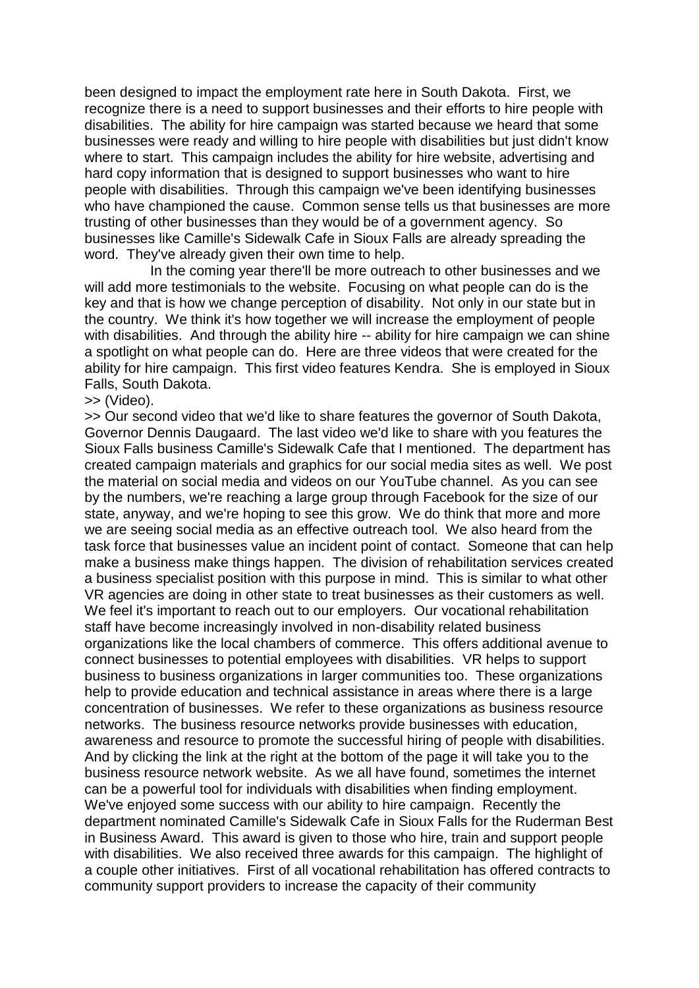been designed to impact the employment rate here in South Dakota. First, we recognize there is a need to support businesses and their efforts to hire people with disabilities. The ability for hire campaign was started because we heard that some businesses were ready and willing to hire people with disabilities but just didn't know where to start. This campaign includes the ability for hire website, advertising and hard copy information that is designed to support businesses who want to hire people with disabilities. Through this campaign we've been identifying businesses who have championed the cause. Common sense tells us that businesses are more trusting of other businesses than they would be of a government agency. So businesses like Camille's Sidewalk Cafe in Sioux Falls are already spreading the word. They've already given their own time to help.

In the coming year there'll be more outreach to other businesses and we will add more testimonials to the website. Focusing on what people can do is the key and that is how we change perception of disability. Not only in our state but in the country. We think it's how together we will increase the employment of people with disabilities. And through the ability hire -- ability for hire campaign we can shine a spotlight on what people can do. Here are three videos that were created for the ability for hire campaign. This first video features Kendra. She is employed in Sioux Falls, South Dakota.

## >> (Video).

>> Our second video that we'd like to share features the governor of South Dakota, Governor Dennis Daugaard. The last video we'd like to share with you features the Sioux Falls business Camille's Sidewalk Cafe that I mentioned. The department has created campaign materials and graphics for our social media sites as well. We post the material on social media and videos on our YouTube channel. As you can see by the numbers, we're reaching a large group through Facebook for the size of our state, anyway, and we're hoping to see this grow. We do think that more and more we are seeing social media as an effective outreach tool. We also heard from the task force that businesses value an incident point of contact. Someone that can help make a business make things happen. The division of rehabilitation services created a business specialist position with this purpose in mind. This is similar to what other VR agencies are doing in other state to treat businesses as their customers as well. We feel it's important to reach out to our employers. Our vocational rehabilitation staff have become increasingly involved in non-disability related business organizations like the local chambers of commerce. This offers additional avenue to connect businesses to potential employees with disabilities. VR helps to support business to business organizations in larger communities too. These organizations help to provide education and technical assistance in areas where there is a large concentration of businesses. We refer to these organizations as business resource networks. The business resource networks provide businesses with education, awareness and resource to promote the successful hiring of people with disabilities. And by clicking the link at the right at the bottom of the page it will take you to the business resource network website. As we all have found, sometimes the internet can be a powerful tool for individuals with disabilities when finding employment. We've enjoyed some success with our ability to hire campaign. Recently the department nominated Camille's Sidewalk Cafe in Sioux Falls for the Ruderman Best in Business Award. This award is given to those who hire, train and support people with disabilities. We also received three awards for this campaign. The highlight of a couple other initiatives. First of all vocational rehabilitation has offered contracts to community support providers to increase the capacity of their community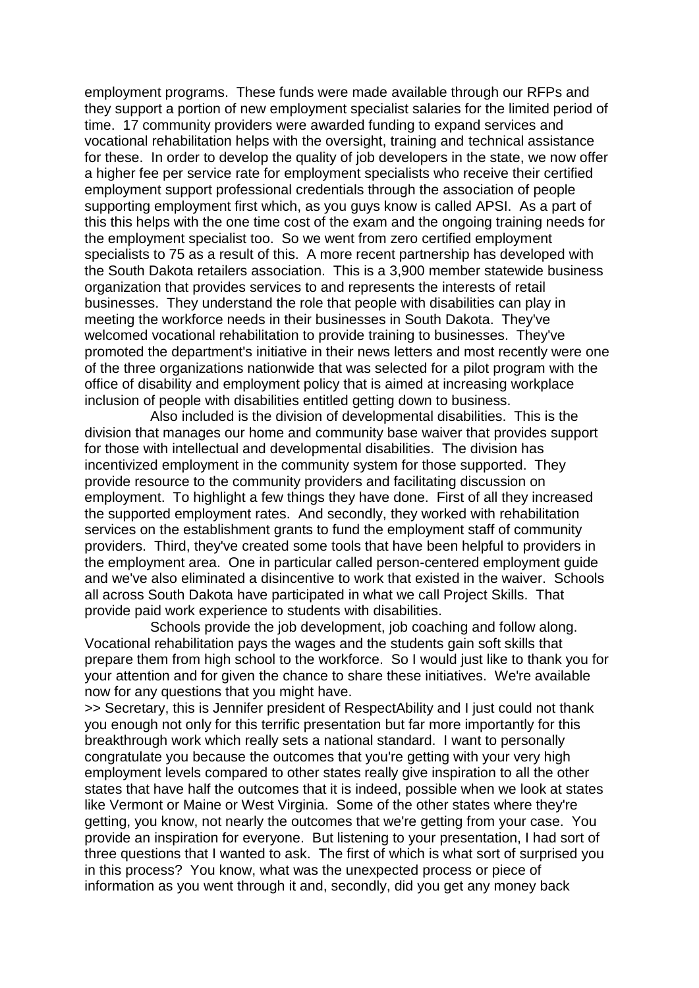employment programs. These funds were made available through our RFPs and they support a portion of new employment specialist salaries for the limited period of time. 17 community providers were awarded funding to expand services and vocational rehabilitation helps with the oversight, training and technical assistance for these. In order to develop the quality of job developers in the state, we now offer a higher fee per service rate for employment specialists who receive their certified employment support professional credentials through the association of people supporting employment first which, as you guys know is called APSI. As a part of this this helps with the one time cost of the exam and the ongoing training needs for the employment specialist too. So we went from zero certified employment specialists to 75 as a result of this. A more recent partnership has developed with the South Dakota retailers association. This is a 3,900 member statewide business organization that provides services to and represents the interests of retail businesses. They understand the role that people with disabilities can play in meeting the workforce needs in their businesses in South Dakota. They've welcomed vocational rehabilitation to provide training to businesses. They've promoted the department's initiative in their news letters and most recently were one of the three organizations nationwide that was selected for a pilot program with the office of disability and employment policy that is aimed at increasing workplace inclusion of people with disabilities entitled getting down to business.

Also included is the division of developmental disabilities. This is the division that manages our home and community base waiver that provides support for those with intellectual and developmental disabilities. The division has incentivized employment in the community system for those supported. They provide resource to the community providers and facilitating discussion on employment. To highlight a few things they have done. First of all they increased the supported employment rates. And secondly, they worked with rehabilitation services on the establishment grants to fund the employment staff of community providers. Third, they've created some tools that have been helpful to providers in the employment area. One in particular called person-centered employment guide and we've also eliminated a disincentive to work that existed in the waiver. Schools all across South Dakota have participated in what we call Project Skills. That provide paid work experience to students with disabilities.

Schools provide the job development, job coaching and follow along. Vocational rehabilitation pays the wages and the students gain soft skills that prepare them from high school to the workforce. So I would just like to thank you for your attention and for given the chance to share these initiatives. We're available now for any questions that you might have.

>> Secretary, this is Jennifer president of RespectAbility and I just could not thank you enough not only for this terrific presentation but far more importantly for this breakthrough work which really sets a national standard. I want to personally congratulate you because the outcomes that you're getting with your very high employment levels compared to other states really give inspiration to all the other states that have half the outcomes that it is indeed, possible when we look at states like Vermont or Maine or West Virginia. Some of the other states where they're getting, you know, not nearly the outcomes that we're getting from your case. You provide an inspiration for everyone. But listening to your presentation, I had sort of three questions that I wanted to ask. The first of which is what sort of surprised you in this process? You know, what was the unexpected process or piece of information as you went through it and, secondly, did you get any money back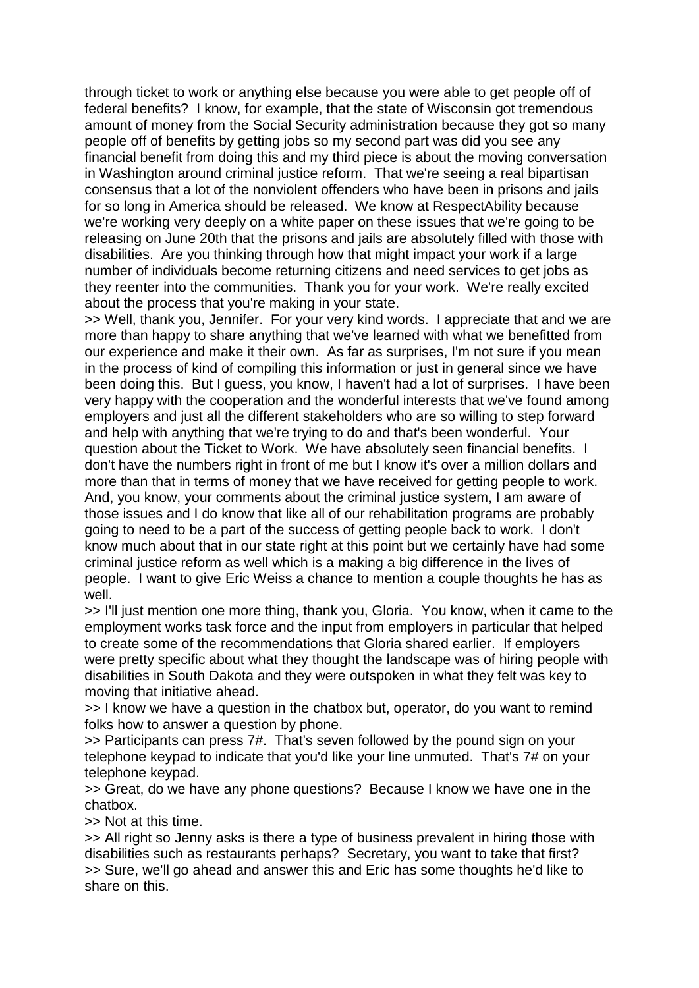through ticket to work or anything else because you were able to get people off of federal benefits? I know, for example, that the state of Wisconsin got tremendous amount of money from the Social Security administration because they got so many people off of benefits by getting jobs so my second part was did you see any financial benefit from doing this and my third piece is about the moving conversation in Washington around criminal justice reform. That we're seeing a real bipartisan consensus that a lot of the nonviolent offenders who have been in prisons and jails for so long in America should be released. We know at RespectAbility because we're working very deeply on a white paper on these issues that we're going to be releasing on June 20th that the prisons and jails are absolutely filled with those with disabilities. Are you thinking through how that might impact your work if a large number of individuals become returning citizens and need services to get jobs as they reenter into the communities. Thank you for your work. We're really excited about the process that you're making in your state.

>> Well, thank you, Jennifer. For your very kind words. I appreciate that and we are more than happy to share anything that we've learned with what we benefitted from our experience and make it their own. As far as surprises, I'm not sure if you mean in the process of kind of compiling this information or just in general since we have been doing this. But I guess, you know, I haven't had a lot of surprises. I have been very happy with the cooperation and the wonderful interests that we've found among employers and just all the different stakeholders who are so willing to step forward and help with anything that we're trying to do and that's been wonderful. Your question about the Ticket to Work. We have absolutely seen financial benefits. I don't have the numbers right in front of me but I know it's over a million dollars and more than that in terms of money that we have received for getting people to work. And, you know, your comments about the criminal justice system, I am aware of those issues and I do know that like all of our rehabilitation programs are probably going to need to be a part of the success of getting people back to work. I don't know much about that in our state right at this point but we certainly have had some criminal justice reform as well which is a making a big difference in the lives of people. I want to give Eric Weiss a chance to mention a couple thoughts he has as well.

>> I'll just mention one more thing, thank you, Gloria. You know, when it came to the employment works task force and the input from employers in particular that helped to create some of the recommendations that Gloria shared earlier. If employers were pretty specific about what they thought the landscape was of hiring people with disabilities in South Dakota and they were outspoken in what they felt was key to moving that initiative ahead.

>> I know we have a question in the chatbox but, operator, do you want to remind folks how to answer a question by phone.

>> Participants can press 7#. That's seven followed by the pound sign on your telephone keypad to indicate that you'd like your line unmuted. That's 7# on your telephone keypad.

>> Great, do we have any phone questions? Because I know we have one in the chatbox.

>> Not at this time.

>> All right so Jenny asks is there a type of business prevalent in hiring those with disabilities such as restaurants perhaps? Secretary, you want to take that first? >> Sure, we'll go ahead and answer this and Eric has some thoughts he'd like to share on this.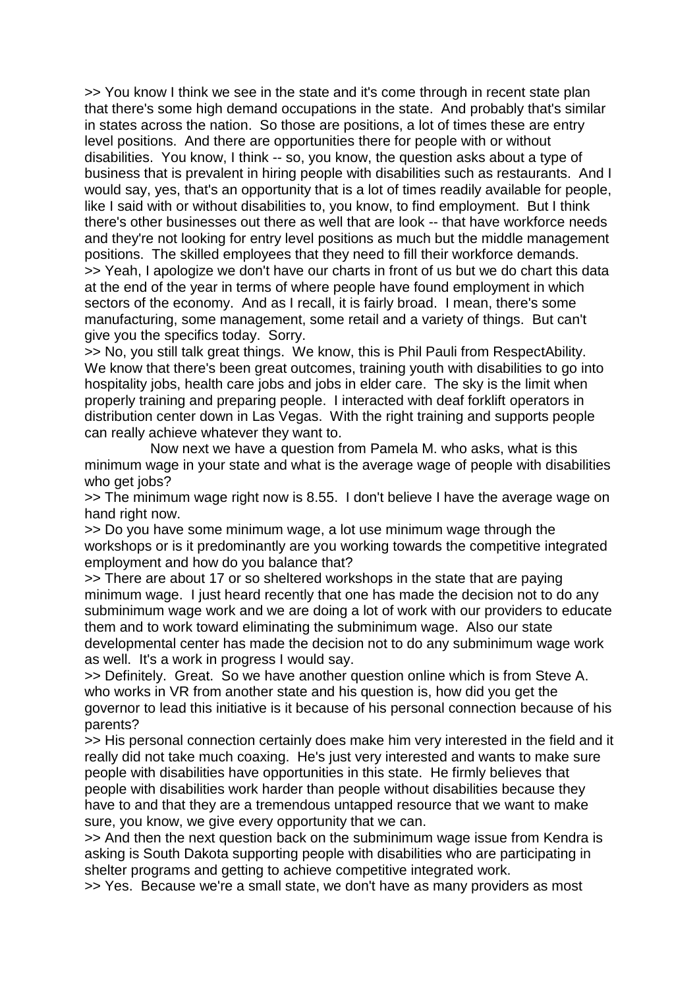>> You know I think we see in the state and it's come through in recent state plan that there's some high demand occupations in the state. And probably that's similar in states across the nation. So those are positions, a lot of times these are entry level positions. And there are opportunities there for people with or without disabilities. You know, I think -- so, you know, the question asks about a type of business that is prevalent in hiring people with disabilities such as restaurants. And I would say, yes, that's an opportunity that is a lot of times readily available for people, like I said with or without disabilities to, you know, to find employment. But I think there's other businesses out there as well that are look -- that have workforce needs and they're not looking for entry level positions as much but the middle management positions. The skilled employees that they need to fill their workforce demands. >> Yeah, I apologize we don't have our charts in front of us but we do chart this data at the end of the year in terms of where people have found employment in which sectors of the economy. And as I recall, it is fairly broad. I mean, there's some manufacturing, some management, some retail and a variety of things. But can't give you the specifics today. Sorry.

>> No, you still talk great things. We know, this is Phil Pauli from RespectAbility. We know that there's been great outcomes, training youth with disabilities to go into hospitality jobs, health care jobs and jobs in elder care. The sky is the limit when properly training and preparing people. I interacted with deaf forklift operators in distribution center down in Las Vegas. With the right training and supports people can really achieve whatever they want to.

Now next we have a question from Pamela M. who asks, what is this minimum wage in your state and what is the average wage of people with disabilities who get jobs?

>> The minimum wage right now is 8.55. I don't believe I have the average wage on hand right now.

>> Do you have some minimum wage, a lot use minimum wage through the workshops or is it predominantly are you working towards the competitive integrated employment and how do you balance that?

>> There are about 17 or so sheltered workshops in the state that are paying minimum wage. I just heard recently that one has made the decision not to do any subminimum wage work and we are doing a lot of work with our providers to educate them and to work toward eliminating the subminimum wage. Also our state developmental center has made the decision not to do any subminimum wage work as well. It's a work in progress I would say.

>> Definitely. Great. So we have another question online which is from Steve A. who works in VR from another state and his question is, how did you get the governor to lead this initiative is it because of his personal connection because of his parents?

>> His personal connection certainly does make him very interested in the field and it really did not take much coaxing. He's just very interested and wants to make sure people with disabilities have opportunities in this state. He firmly believes that people with disabilities work harder than people without disabilities because they have to and that they are a tremendous untapped resource that we want to make sure, you know, we give every opportunity that we can.

>> And then the next question back on the subminimum wage issue from Kendra is asking is South Dakota supporting people with disabilities who are participating in shelter programs and getting to achieve competitive integrated work.

>> Yes. Because we're a small state, we don't have as many providers as most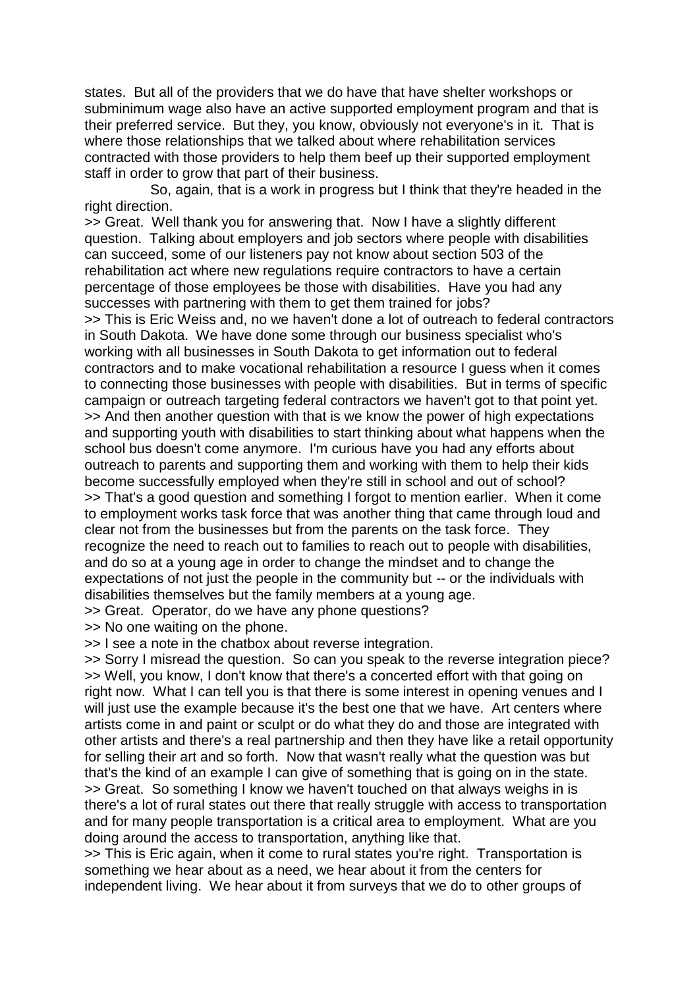states. But all of the providers that we do have that have shelter workshops or subminimum wage also have an active supported employment program and that is their preferred service. But they, you know, obviously not everyone's in it. That is where those relationships that we talked about where rehabilitation services contracted with those providers to help them beef up their supported employment staff in order to grow that part of their business.

So, again, that is a work in progress but I think that they're headed in the right direction.

>> Great. Well thank you for answering that. Now I have a slightly different question. Talking about employers and job sectors where people with disabilities can succeed, some of our listeners pay not know about section 503 of the rehabilitation act where new regulations require contractors to have a certain percentage of those employees be those with disabilities. Have you had any successes with partnering with them to get them trained for jobs? >> This is Eric Weiss and, no we haven't done a lot of outreach to federal contractors in South Dakota. We have done some through our business specialist who's working with all businesses in South Dakota to get information out to federal contractors and to make vocational rehabilitation a resource I guess when it comes to connecting those businesses with people with disabilities. But in terms of specific campaign or outreach targeting federal contractors we haven't got to that point yet. >> And then another question with that is we know the power of high expectations and supporting youth with disabilities to start thinking about what happens when the school bus doesn't come anymore. I'm curious have you had any efforts about outreach to parents and supporting them and working with them to help their kids become successfully employed when they're still in school and out of school? >> That's a good question and something I forgot to mention earlier. When it come to employment works task force that was another thing that came through loud and clear not from the businesses but from the parents on the task force. They recognize the need to reach out to families to reach out to people with disabilities, and do so at a young age in order to change the mindset and to change the expectations of not just the people in the community but -- or the individuals with disabilities themselves but the family members at a young age.

>> Great. Operator, do we have any phone questions?

>> No one waiting on the phone.

>> I see a note in the chatbox about reverse integration.

>> Sorry I misread the question. So can you speak to the reverse integration piece? >> Well, you know, I don't know that there's a concerted effort with that going on right now. What I can tell you is that there is some interest in opening venues and I will just use the example because it's the best one that we have. Art centers where artists come in and paint or sculpt or do what they do and those are integrated with other artists and there's a real partnership and then they have like a retail opportunity for selling their art and so forth. Now that wasn't really what the question was but that's the kind of an example I can give of something that is going on in the state. >> Great. So something I know we haven't touched on that always weighs in is there's a lot of rural states out there that really struggle with access to transportation and for many people transportation is a critical area to employment. What are you doing around the access to transportation, anything like that.

>> This is Eric again, when it come to rural states you're right. Transportation is something we hear about as a need, we hear about it from the centers for independent living. We hear about it from surveys that we do to other groups of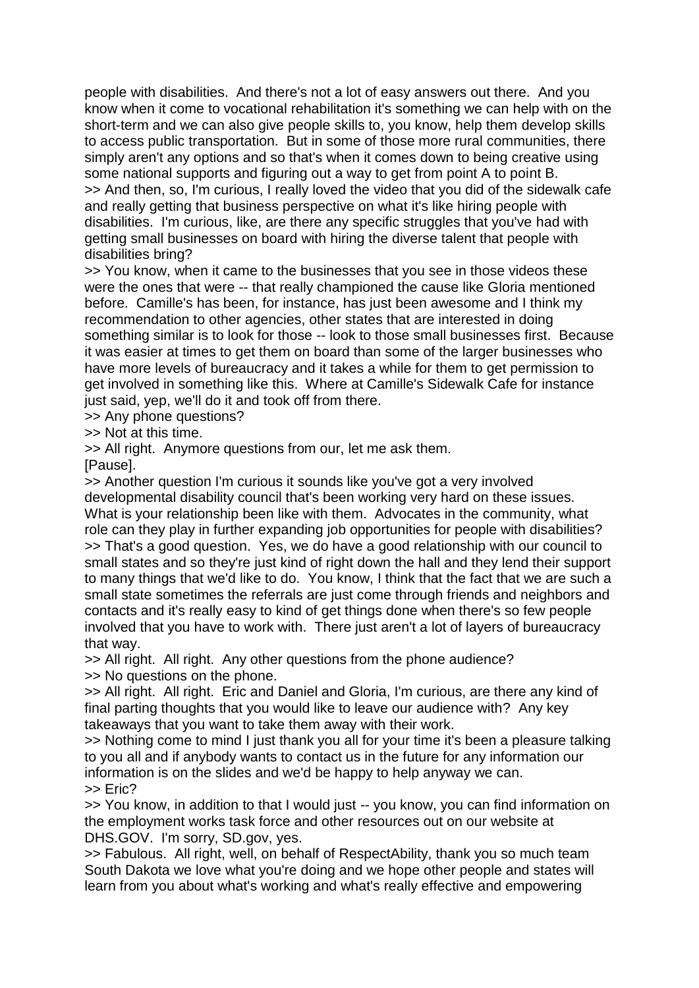people with disabilities. And there's not a lot of easy answers out there. And you know when it come to vocational rehabilitation it's something we can help with on the short-term and we can also give people skills to, you know, help them develop skills to access public transportation. But in some of those more rural communities, there simply aren't any options and so that's when it comes down to being creative using some national supports and figuring out a way to get from point A to point B. >> And then, so, I'm curious, I really loved the video that you did of the sidewalk cafe and really getting that business perspective on what it's like hiring people with disabilities. I'm curious, like, are there any specific struggles that you've had with getting small businesses on board with hiring the diverse talent that people with disabilities bring?

>> You know, when it came to the businesses that you see in those videos these were the ones that were -- that really championed the cause like Gloria mentioned before. Camille's has been, for instance, has just been awesome and I think my recommendation to other agencies, other states that are interested in doing something similar is to look for those -- look to those small businesses first. Because it was easier at times to get them on board than some of the larger businesses who have more levels of bureaucracy and it takes a while for them to get permission to get involved in something like this. Where at Camille's Sidewalk Cafe for instance just said, yep, we'll do it and took off from there.

>> Any phone questions?

>> Not at this time.

>> All right. Anymore questions from our, let me ask them.

[Pause].

>> Another question I'm curious it sounds like you've got a very involved developmental disability council that's been working very hard on these issues. What is your relationship been like with them. Advocates in the community, what role can they play in further expanding job opportunities for people with disabilities? >> That's a good question. Yes, we do have a good relationship with our council to small states and so they're just kind of right down the hall and they lend their support to many things that we'd like to do. You know, I think that the fact that we are such a small state sometimes the referrals are just come through friends and neighbors and contacts and it's really easy to kind of get things done when there's so few people involved that you have to work with. There just aren't a lot of layers of bureaucracy that way.

>> All right. All right. Any other questions from the phone audience? >> No questions on the phone.

>> All right. All right. Eric and Daniel and Gloria, I'm curious, are there any kind of final parting thoughts that you would like to leave our audience with? Any key takeaways that you want to take them away with their work.

>> Nothing come to mind I just thank you all for your time it's been a pleasure talking to you all and if anybody wants to contact us in the future for any information our information is on the slides and we'd be happy to help anyway we can. >> Eric?

>> You know, in addition to that I would just -- you know, you can find information on the employment works task force and other resources out on our website at DHS.GOV. I'm sorry, SD.gov, yes.

>> Fabulous. All right, well, on behalf of RespectAbility, thank you so much team South Dakota we love what you're doing and we hope other people and states will learn from you about what's working and what's really effective and empowering